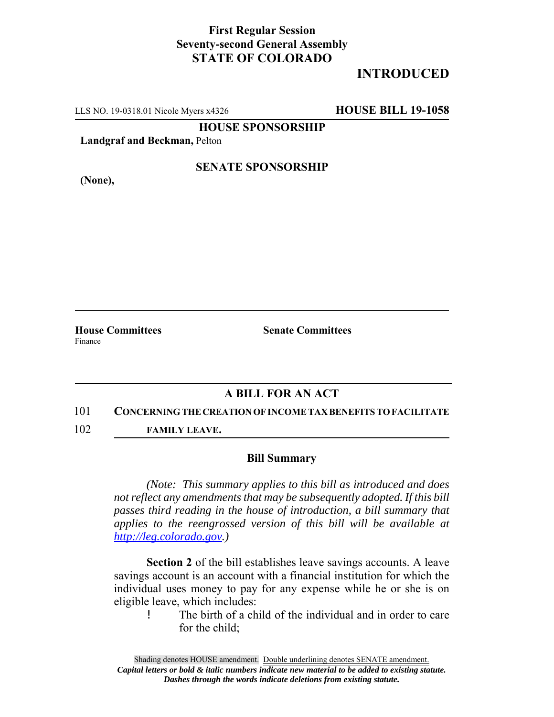## **First Regular Session Seventy-second General Assembly STATE OF COLORADO**

# **INTRODUCED**

LLS NO. 19-0318.01 Nicole Myers x4326 **HOUSE BILL 19-1058**

**HOUSE SPONSORSHIP**

**Landgraf and Beckman,** Pelton

**(None),**

### **SENATE SPONSORSHIP**

**House Committees Senate Committees** Finance

### **A BILL FOR AN ACT**

#### 101 **CONCERNING THE CREATION OF INCOME TAX BENEFITS TO FACILITATE**

102 **FAMILY LEAVE.**

#### **Bill Summary**

*(Note: This summary applies to this bill as introduced and does not reflect any amendments that may be subsequently adopted. If this bill passes third reading in the house of introduction, a bill summary that applies to the reengrossed version of this bill will be available at http://leg.colorado.gov.)*

**Section 2** of the bill establishes leave savings accounts. A leave savings account is an account with a financial institution for which the individual uses money to pay for any expense while he or she is on eligible leave, which includes:

! The birth of a child of the individual and in order to care for the child;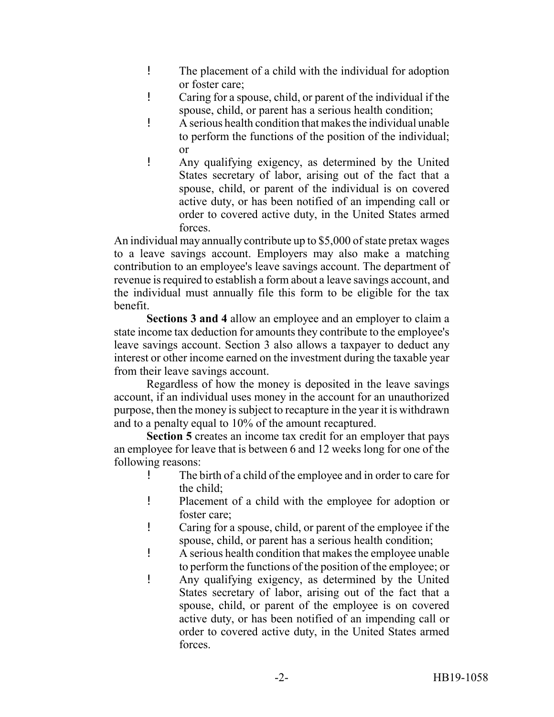- ! The placement of a child with the individual for adoption or foster care;
- ! Caring for a spouse, child, or parent of the individual if the spouse, child, or parent has a serious health condition;
- ! A serious health condition that makes the individual unable to perform the functions of the position of the individual; or

! Any qualifying exigency, as determined by the United States secretary of labor, arising out of the fact that a spouse, child, or parent of the individual is on covered active duty, or has been notified of an impending call or order to covered active duty, in the United States armed forces.

An individual may annually contribute up to \$5,000 of state pretax wages to a leave savings account. Employers may also make a matching contribution to an employee's leave savings account. The department of revenue is required to establish a form about a leave savings account, and the individual must annually file this form to be eligible for the tax benefit.

**Sections 3 and 4** allow an employee and an employer to claim a state income tax deduction for amounts they contribute to the employee's leave savings account. Section 3 also allows a taxpayer to deduct any interest or other income earned on the investment during the taxable year from their leave savings account.

Regardless of how the money is deposited in the leave savings account, if an individual uses money in the account for an unauthorized purpose, then the money is subject to recapture in the year it is withdrawn and to a penalty equal to 10% of the amount recaptured.

**Section 5** creates an income tax credit for an employer that pays an employee for leave that is between 6 and 12 weeks long for one of the following reasons:

- ! The birth of a child of the employee and in order to care for the child;
- ! Placement of a child with the employee for adoption or foster care;
- ! Caring for a spouse, child, or parent of the employee if the spouse, child, or parent has a serious health condition;
- ! A serious health condition that makes the employee unable to perform the functions of the position of the employee; or
- ! Any qualifying exigency, as determined by the United States secretary of labor, arising out of the fact that a spouse, child, or parent of the employee is on covered active duty, or has been notified of an impending call or order to covered active duty, in the United States armed forces.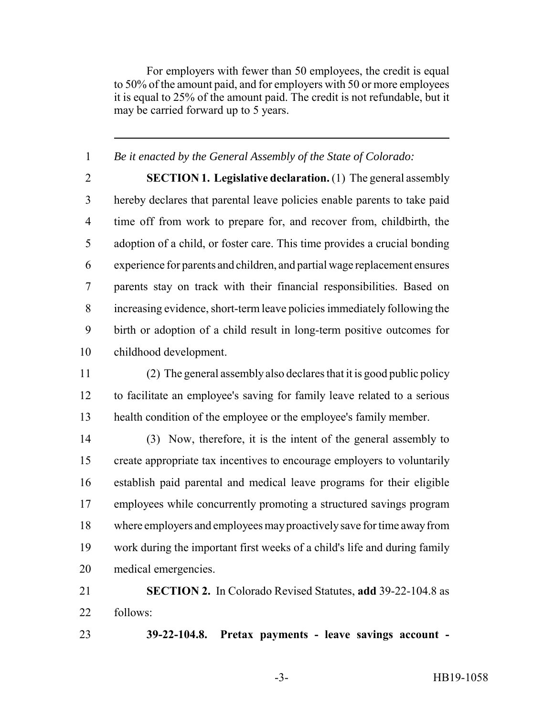For employers with fewer than 50 employees, the credit is equal to 50% of the amount paid, and for employers with 50 or more employees it is equal to 25% of the amount paid. The credit is not refundable, but it may be carried forward up to 5 years.

*Be it enacted by the General Assembly of the State of Colorado:*

 **SECTION 1. Legislative declaration.** (1) The general assembly hereby declares that parental leave policies enable parents to take paid time off from work to prepare for, and recover from, childbirth, the adoption of a child, or foster care. This time provides a crucial bonding experience for parents and children, and partial wage replacement ensures parents stay on track with their financial responsibilities. Based on increasing evidence, short-term leave policies immediately following the birth or adoption of a child result in long-term positive outcomes for childhood development.

 (2) The general assembly also declares that it is good public policy to facilitate an employee's saving for family leave related to a serious health condition of the employee or the employee's family member.

 (3) Now, therefore, it is the intent of the general assembly to create appropriate tax incentives to encourage employers to voluntarily establish paid parental and medical leave programs for their eligible employees while concurrently promoting a structured savings program where employers and employees may proactively save for time away from work during the important first weeks of a child's life and during family medical emergencies.

 **SECTION 2.** In Colorado Revised Statutes, **add** 39-22-104.8 as follows:

**39-22-104.8. Pretax payments - leave savings account -**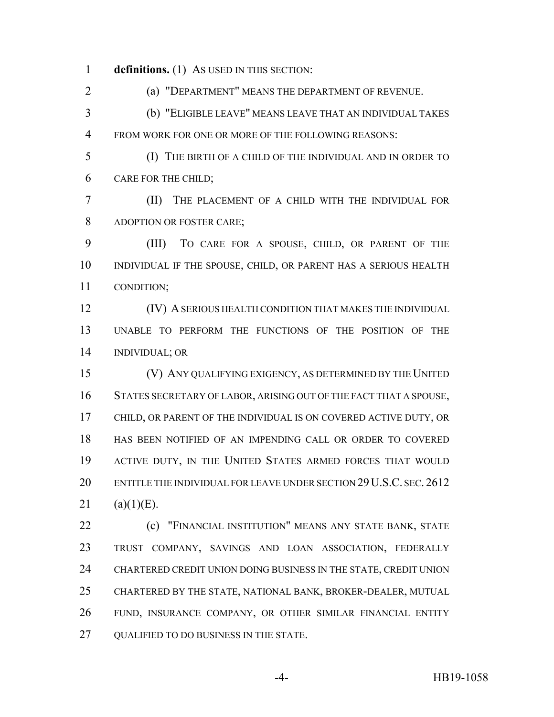**definitions.** (1) AS USED IN THIS SECTION:

(a) "DEPARTMENT" MEANS THE DEPARTMENT OF REVENUE.

 (b) "ELIGIBLE LEAVE" MEANS LEAVE THAT AN INDIVIDUAL TAKES FROM WORK FOR ONE OR MORE OF THE FOLLOWING REASONS:

 (I) THE BIRTH OF A CHILD OF THE INDIVIDUAL AND IN ORDER TO CARE FOR THE CHILD;

 (II) THE PLACEMENT OF A CHILD WITH THE INDIVIDUAL FOR ADOPTION OR FOSTER CARE;

 (III) TO CARE FOR A SPOUSE, CHILD, OR PARENT OF THE INDIVIDUAL IF THE SPOUSE, CHILD, OR PARENT HAS A SERIOUS HEALTH CONDITION;

 (IV) A SERIOUS HEALTH CONDITION THAT MAKES THE INDIVIDUAL UNABLE TO PERFORM THE FUNCTIONS OF THE POSITION OF THE INDIVIDUAL; OR

 (V) ANY QUALIFYING EXIGENCY, AS DETERMINED BY THE UNITED STATES SECRETARY OF LABOR, ARISING OUT OF THE FACT THAT A SPOUSE, CHILD, OR PARENT OF THE INDIVIDUAL IS ON COVERED ACTIVE DUTY, OR HAS BEEN NOTIFIED OF AN IMPENDING CALL OR ORDER TO COVERED ACTIVE DUTY, IN THE UNITED STATES ARMED FORCES THAT WOULD ENTITLE THE INDIVIDUAL FOR LEAVE UNDER SECTION 29U.S.C. SEC. 2612 (a)(1)(E).

**(c)** "FINANCIAL INSTITUTION" MEANS ANY STATE BANK, STATE TRUST COMPANY, SAVINGS AND LOAN ASSOCIATION, FEDERALLY CHARTERED CREDIT UNION DOING BUSINESS IN THE STATE, CREDIT UNION CHARTERED BY THE STATE, NATIONAL BANK, BROKER-DEALER, MUTUAL FUND, INSURANCE COMPANY, OR OTHER SIMILAR FINANCIAL ENTITY 27 OUALIFIED TO DO BUSINESS IN THE STATE.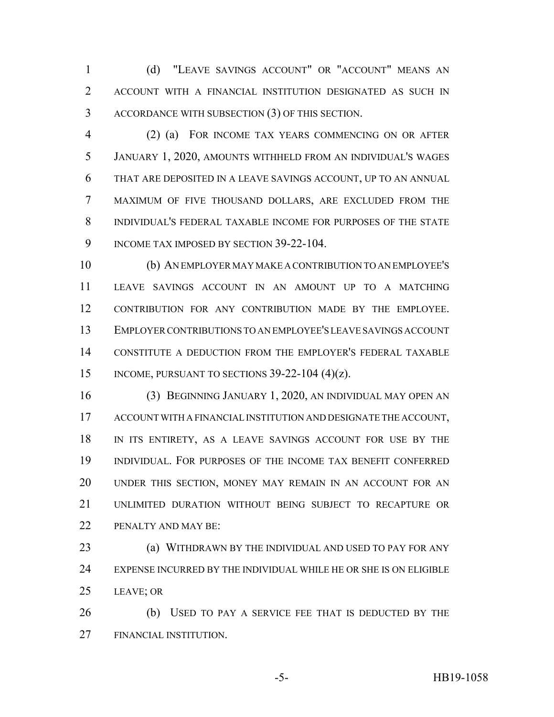(d) "LEAVE SAVINGS ACCOUNT" OR "ACCOUNT" MEANS AN ACCOUNT WITH A FINANCIAL INSTITUTION DESIGNATED AS SUCH IN ACCORDANCE WITH SUBSECTION (3) OF THIS SECTION.

 (2) (a) FOR INCOME TAX YEARS COMMENCING ON OR AFTER JANUARY 1, 2020, AMOUNTS WITHHELD FROM AN INDIVIDUAL'S WAGES THAT ARE DEPOSITED IN A LEAVE SAVINGS ACCOUNT, UP TO AN ANNUAL MAXIMUM OF FIVE THOUSAND DOLLARS, ARE EXCLUDED FROM THE INDIVIDUAL'S FEDERAL TAXABLE INCOME FOR PURPOSES OF THE STATE 9 INCOME TAX IMPOSED BY SECTION 39-22-104.

 (b) AN EMPLOYER MAY MAKE A CONTRIBUTION TO AN EMPLOYEE'S LEAVE SAVINGS ACCOUNT IN AN AMOUNT UP TO A MATCHING CONTRIBUTION FOR ANY CONTRIBUTION MADE BY THE EMPLOYEE. EMPLOYER CONTRIBUTIONS TO AN EMPLOYEE'S LEAVE SAVINGS ACCOUNT CONSTITUTE A DEDUCTION FROM THE EMPLOYER'S FEDERAL TAXABLE 15 INCOME, PURSUANT TO SECTIONS  $39-22-104$  (4)(z).

 (3) BEGINNING JANUARY 1, 2020, AN INDIVIDUAL MAY OPEN AN ACCOUNT WITH A FINANCIAL INSTITUTION AND DESIGNATE THE ACCOUNT, IN ITS ENTIRETY, AS A LEAVE SAVINGS ACCOUNT FOR USE BY THE INDIVIDUAL. FOR PURPOSES OF THE INCOME TAX BENEFIT CONFERRED UNDER THIS SECTION, MONEY MAY REMAIN IN AN ACCOUNT FOR AN UNLIMITED DURATION WITHOUT BEING SUBJECT TO RECAPTURE OR 22 PENALTY AND MAY BE:

**(a) WITHDRAWN BY THE INDIVIDUAL AND USED TO PAY FOR ANY**  EXPENSE INCURRED BY THE INDIVIDUAL WHILE HE OR SHE IS ON ELIGIBLE LEAVE; OR

 (b) USED TO PAY A SERVICE FEE THAT IS DEDUCTED BY THE FINANCIAL INSTITUTION.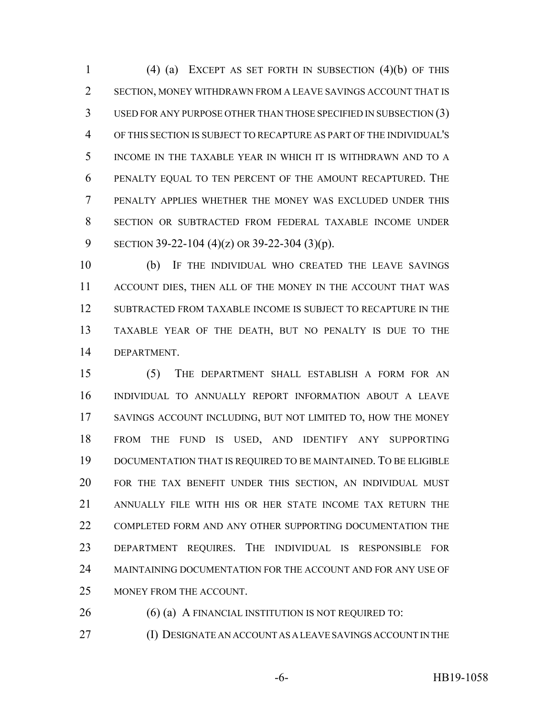(4) (a) EXCEPT AS SET FORTH IN SUBSECTION (4)(b) OF THIS SECTION, MONEY WITHDRAWN FROM A LEAVE SAVINGS ACCOUNT THAT IS USED FOR ANY PURPOSE OTHER THAN THOSE SPECIFIED IN SUBSECTION (3) OF THIS SECTION IS SUBJECT TO RECAPTURE AS PART OF THE INDIVIDUAL'S INCOME IN THE TAXABLE YEAR IN WHICH IT IS WITHDRAWN AND TO A PENALTY EQUAL TO TEN PERCENT OF THE AMOUNT RECAPTURED. THE PENALTY APPLIES WHETHER THE MONEY WAS EXCLUDED UNDER THIS SECTION OR SUBTRACTED FROM FEDERAL TAXABLE INCOME UNDER SECTION 39-22-104 (4)(z) OR 39-22-304 (3)(p).

 (b) IF THE INDIVIDUAL WHO CREATED THE LEAVE SAVINGS 11 ACCOUNT DIES, THEN ALL OF THE MONEY IN THE ACCOUNT THAT WAS SUBTRACTED FROM TAXABLE INCOME IS SUBJECT TO RECAPTURE IN THE TAXABLE YEAR OF THE DEATH, BUT NO PENALTY IS DUE TO THE DEPARTMENT.

 (5) THE DEPARTMENT SHALL ESTABLISH A FORM FOR AN INDIVIDUAL TO ANNUALLY REPORT INFORMATION ABOUT A LEAVE SAVINGS ACCOUNT INCLUDING, BUT NOT LIMITED TO, HOW THE MONEY FROM THE FUND IS USED, AND IDENTIFY ANY SUPPORTING DOCUMENTATION THAT IS REQUIRED TO BE MAINTAINED. TO BE ELIGIBLE FOR THE TAX BENEFIT UNDER THIS SECTION, AN INDIVIDUAL MUST ANNUALLY FILE WITH HIS OR HER STATE INCOME TAX RETURN THE COMPLETED FORM AND ANY OTHER SUPPORTING DOCUMENTATION THE DEPARTMENT REQUIRES. THE INDIVIDUAL IS RESPONSIBLE FOR MAINTAINING DOCUMENTATION FOR THE ACCOUNT AND FOR ANY USE OF MONEY FROM THE ACCOUNT.

26 (6) (a) A FINANCIAL INSTITUTION IS NOT REQUIRED TO:

(I) DESIGNATE AN ACCOUNT AS A LEAVE SAVINGS ACCOUNT IN THE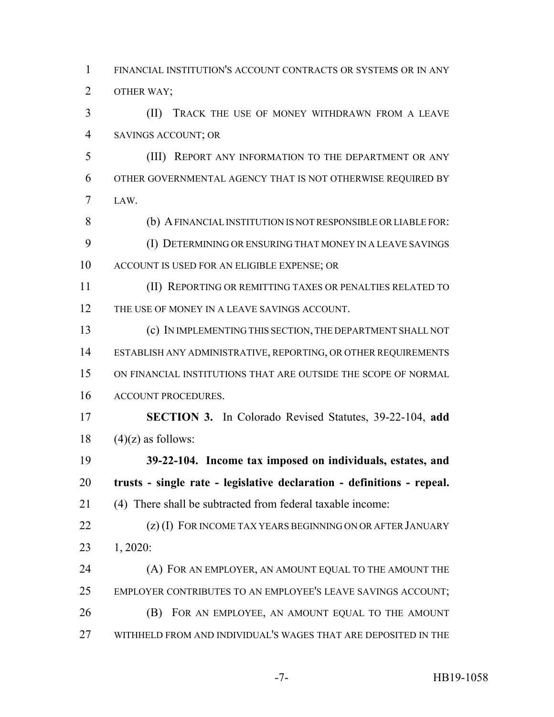FINANCIAL INSTITUTION'S ACCOUNT CONTRACTS OR SYSTEMS OR IN ANY OTHER WAY;

 (II) TRACK THE USE OF MONEY WITHDRAWN FROM A LEAVE SAVINGS ACCOUNT; OR

 (III) REPORT ANY INFORMATION TO THE DEPARTMENT OR ANY OTHER GOVERNMENTAL AGENCY THAT IS NOT OTHERWISE REQUIRED BY LAW.

8 (b) A FINANCIAL INSTITUTION IS NOT RESPONSIBLE OR LIABLE FOR: (I) DETERMINING OR ENSURING THAT MONEY IN A LEAVE SAVINGS ACCOUNT IS USED FOR AN ELIGIBLE EXPENSE; OR

 (II) REPORTING OR REMITTING TAXES OR PENALTIES RELATED TO 12 THE USE OF MONEY IN A LEAVE SAVINGS ACCOUNT.

 (c) IN IMPLEMENTING THIS SECTION, THE DEPARTMENT SHALL NOT ESTABLISH ANY ADMINISTRATIVE, REPORTING, OR OTHER REQUIREMENTS ON FINANCIAL INSTITUTIONS THAT ARE OUTSIDE THE SCOPE OF NORMAL ACCOUNT PROCEDURES.

 **SECTION 3.** In Colorado Revised Statutes, 39-22-104, **add** 18  $(4)(z)$  as follows:

 **39-22-104. Income tax imposed on individuals, estates, and trusts - single rate - legislative declaration - definitions - repeal.** (4) There shall be subtracted from federal taxable income:

22 (z) (I) FOR INCOME TAX YEARS BEGINNING ON OR AFTER JANUARY 1, 2020:

**(A) FOR AN EMPLOYER, AN AMOUNT EQUAL TO THE AMOUNT THE**  EMPLOYER CONTRIBUTES TO AN EMPLOYEE'S LEAVE SAVINGS ACCOUNT; (B) FOR AN EMPLOYEE, AN AMOUNT EQUAL TO THE AMOUNT WITHHELD FROM AND INDIVIDUAL'S WAGES THAT ARE DEPOSITED IN THE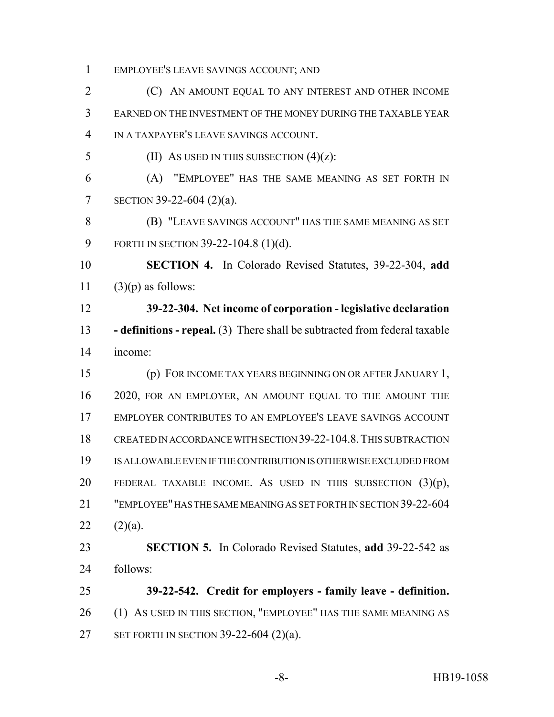EMPLOYEE'S LEAVE SAVINGS ACCOUNT; AND

 (C) AN AMOUNT EQUAL TO ANY INTEREST AND OTHER INCOME EARNED ON THE INVESTMENT OF THE MONEY DURING THE TAXABLE YEAR IN A TAXPAYER'S LEAVE SAVINGS ACCOUNT.

5 (II) AS USED IN THIS SUBSECTION  $(4)(z)$ :

 (A) "EMPLOYEE" HAS THE SAME MEANING AS SET FORTH IN SECTION 39-22-604 (2)(a).

 (B) "LEAVE SAVINGS ACCOUNT" HAS THE SAME MEANING AS SET FORTH IN SECTION 39-22-104.8 (1)(d).

 **SECTION 4.** In Colorado Revised Statutes, 39-22-304, **add** 11  $(3)(p)$  as follows:

 **39-22-304. Net income of corporation - legislative declaration - definitions - repeal.** (3) There shall be subtracted from federal taxable income:

 (p) FOR INCOME TAX YEARS BEGINNING ON OR AFTER JANUARY 1, 2020, FOR AN EMPLOYER, AN AMOUNT EQUAL TO THE AMOUNT THE EMPLOYER CONTRIBUTES TO AN EMPLOYEE'S LEAVE SAVINGS ACCOUNT CREATED IN ACCORDANCE WITH SECTION 39-22-104.8.THIS SUBTRACTION IS ALLOWABLE EVEN IF THE CONTRIBUTION IS OTHERWISE EXCLUDED FROM 20 FEDERAL TAXABLE INCOME. AS USED IN THIS SUBSECTION  $(3)(p)$ , "EMPLOYEE" HAS THE SAME MEANING AS SET FORTH IN SECTION 39-22-604 22  $(2)(a)$ .

 **SECTION 5.** In Colorado Revised Statutes, **add** 39-22-542 as follows:

 **39-22-542. Credit for employers - family leave - definition.** (1) AS USED IN THIS SECTION, "EMPLOYEE" HAS THE SAME MEANING AS SET FORTH IN SECTION 39-22-604 (2)(a).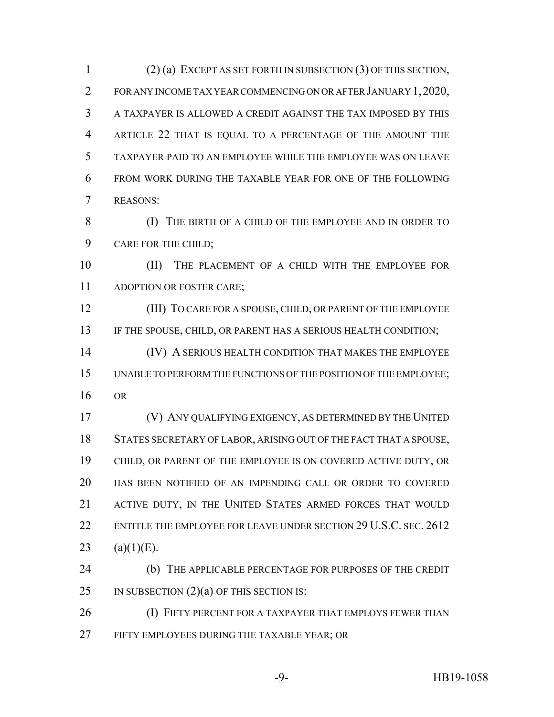(2) (a) EXCEPT AS SET FORTH IN SUBSECTION (3) OF THIS SECTION, FOR ANY INCOME TAX YEAR COMMENCING ON OR AFTER JANUARY 1, 2020, A TAXPAYER IS ALLOWED A CREDIT AGAINST THE TAX IMPOSED BY THIS ARTICLE 22 THAT IS EQUAL TO A PERCENTAGE OF THE AMOUNT THE TAXPAYER PAID TO AN EMPLOYEE WHILE THE EMPLOYEE WAS ON LEAVE FROM WORK DURING THE TAXABLE YEAR FOR ONE OF THE FOLLOWING REASONS:

 (I) THE BIRTH OF A CHILD OF THE EMPLOYEE AND IN ORDER TO CARE FOR THE CHILD;

 (II) THE PLACEMENT OF A CHILD WITH THE EMPLOYEE FOR ADOPTION OR FOSTER CARE;

 (III) TO CARE FOR A SPOUSE, CHILD, OR PARENT OF THE EMPLOYEE 13 IF THE SPOUSE, CHILD, OR PARENT HAS A SERIOUS HEALTH CONDITION;

 (IV) A SERIOUS HEALTH CONDITION THAT MAKES THE EMPLOYEE UNABLE TO PERFORM THE FUNCTIONS OF THE POSITION OF THE EMPLOYEE; OR

 (V) ANY QUALIFYING EXIGENCY, AS DETERMINED BY THE UNITED STATES SECRETARY OF LABOR, ARISING OUT OF THE FACT THAT A SPOUSE, CHILD, OR PARENT OF THE EMPLOYEE IS ON COVERED ACTIVE DUTY, OR HAS BEEN NOTIFIED OF AN IMPENDING CALL OR ORDER TO COVERED ACTIVE DUTY, IN THE UNITED STATES ARMED FORCES THAT WOULD ENTITLE THE EMPLOYEE FOR LEAVE UNDER SECTION 29 U.S.C. SEC. 2612 23 (a)(1)(E).

 (b) THE APPLICABLE PERCENTAGE FOR PURPOSES OF THE CREDIT 25 IN SUBSECTION  $(2)(a)$  OF THIS SECTION IS:

**(I) FIFTY PERCENT FOR A TAXPAYER THAT EMPLOYS FEWER THAN** FIFTY EMPLOYEES DURING THE TAXABLE YEAR; OR